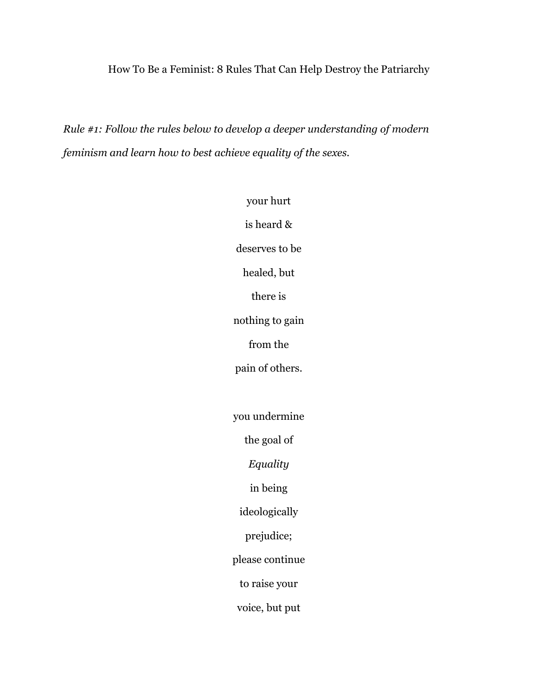## How To Be a Feminist: 8 Rules That Can Help Destroy the Patriarchy

*Rule #1: Follow the rules below to develop a deeper understanding of modern feminism and learn how to best achieve equality of the sexes.*

> your hurt is heard & deserves to be healed, but there is nothing to gain from the pain of others. you undermine the goal of *Equality* in being ideologically prejudice; please continue to raise your voice, but put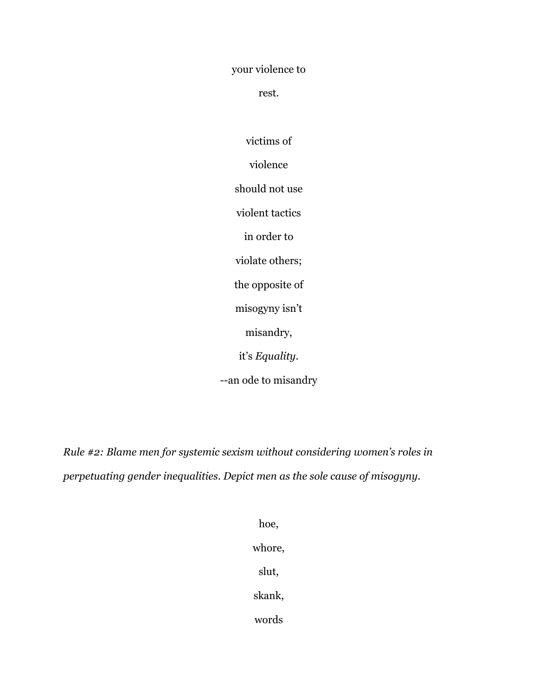your violence to

rest.

victims of violence should not use violent tactics in order to violate others; the opposite of misogyny isn't misandry, it's *Equality*. --an ode to misandry

*Rule #2: Blame men for systemic sexism without considering women's roles in perpetuating gender inequalities. Depict men as the sole cause of misogyny.*

> hoe, whore, slut, skank, words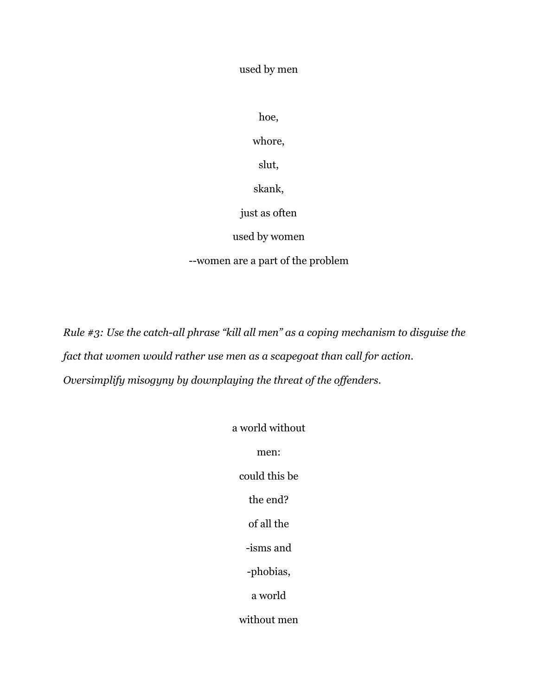used by men

hoe,

whore,

slut,

skank,

just as often

used by women

--women are a part of the problem

*Rule #3: Use the catch-all phrase "kill all men" as a coping mechanism to disguise the fact that women would rather use men as a scapegoat than call for action. Oversimplify misogyny by downplaying the threat of the offenders.*

> a world without men: could this be the end? of all the -isms and -phobias, a world without men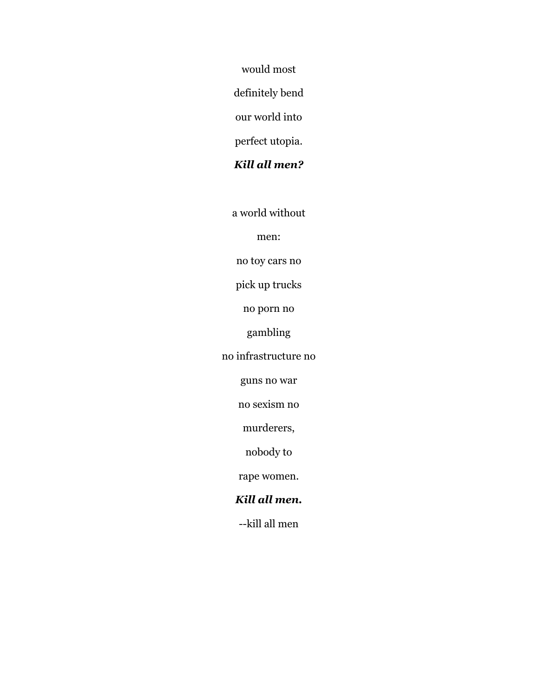would most

definitely bend

our world into

perfect utopia.

# *Kill all men?*

a world without

men:

no toy cars no

pick up trucks

no porn no

gambling

no infrastructure no

guns no war

no sexism no

murderers,

nobody to

rape women.

# *Kill all men.*

--kill all men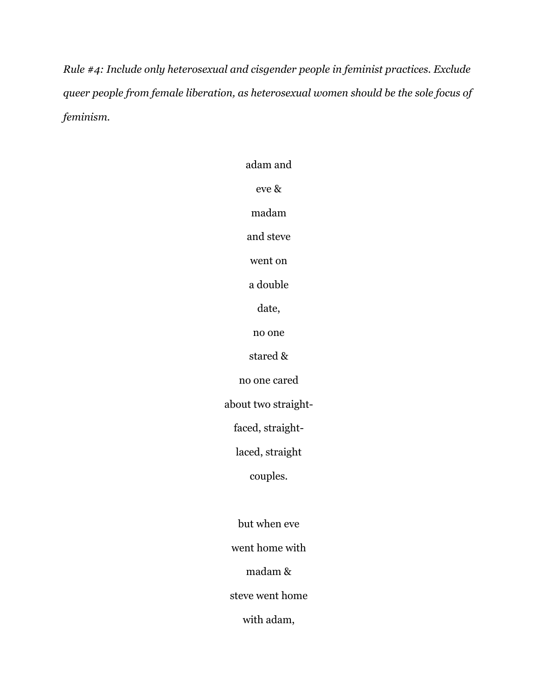*Rule #4: Include only heterosexual and cisgender people in feminist practices. Exclude queer people from female liberation, as heterosexual women should be the sole focus of feminism.*

> adam and eve & madam and steve went on a double date, no one stared & no one cared about two straightfaced, straightlaced, straight couples. but when eve went home with madam & steve went home with adam,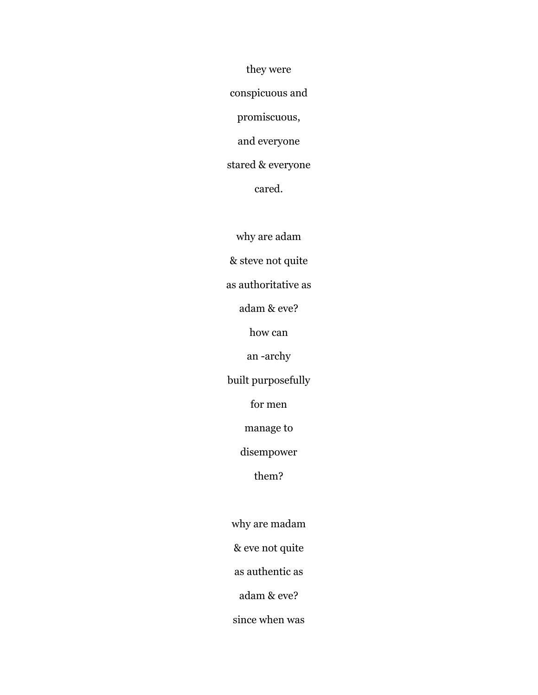they were conspicuous and promiscuous, and everyone stared & everyone

cared.

why are adam

& steve not quite

as authoritative as

adam & eve?

how can

an -archy

built purposefully

for men

manage to

disempower

them?

why are madam

& eve not quite

as authentic as

adam & eve?

since when was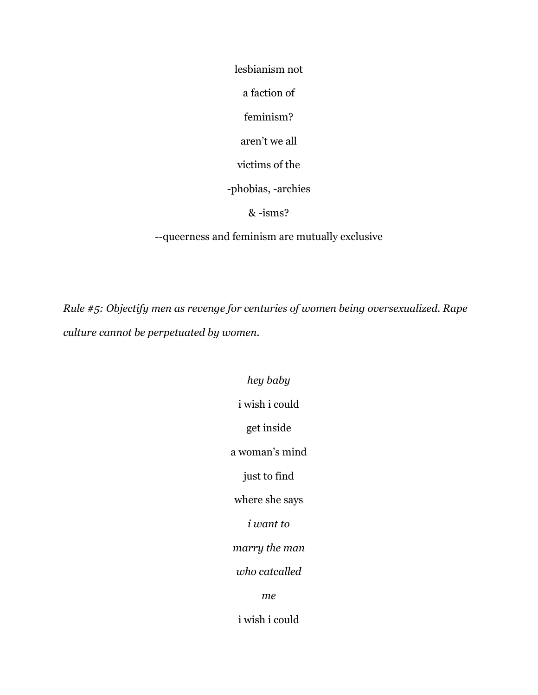lesbianism not

a faction of

feminism?

aren't we all

victims of the

-phobias, -archies

& -isms?

--queerness and feminism are mutually exclusive

*Rule #5: Objectify men as revenge for centuries of women being oversexualized. Rape culture cannot be perpetuated by women.*

> *hey baby* i wish i could get inside a woman's mind just to find where she says *i want to marry the man who catcalled me* i wish i could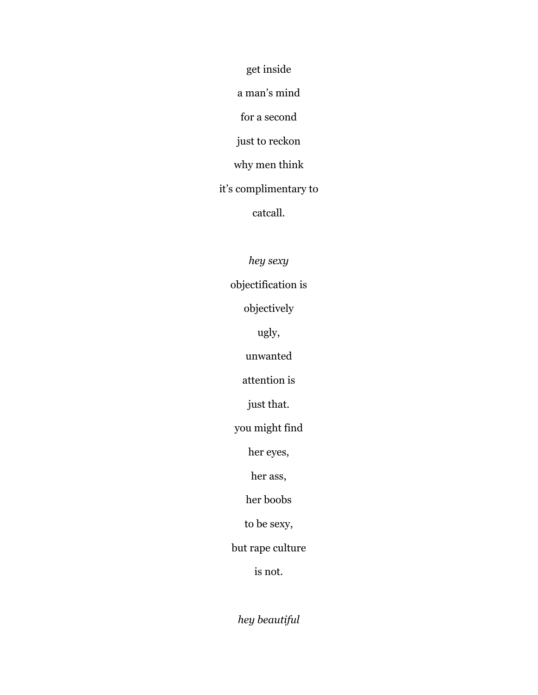get inside

a man's mind

for a second

just to reckon

why men think

it's complimentary to

catcall.

*hey sexy*

objectification is

objectively

ugly,

unwanted

attention is

just that.

you might find

her eyes,

her ass,

her boobs

to be sexy,

but rape culture

is not.

*hey beautiful*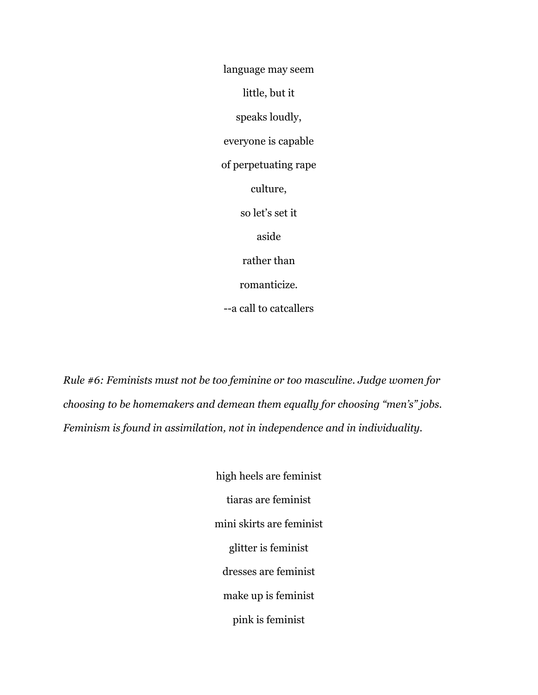language may seem little, but it speaks loudly, everyone is capable of perpetuating rape culture, so let's set it aside rather than romanticize. --a call to catcallers

*Rule #6: Feminists must not be too feminine or too masculine. Judge women for choosing to be homemakers and demean them equally for choosing "men's" jobs. Feminism is found in assimilation, not in independence and in individuality.*

> high heels are feminist tiaras are feminist mini skirts are feminist glitter is feminist dresses are feminist make up is feminist pink is feminist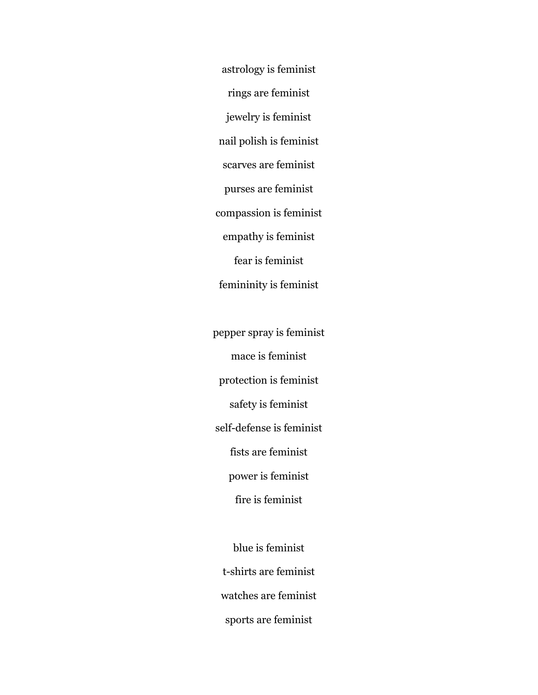astrology is feminist rings are feminist jewelry is feminist nail polish is feminist scarves are feminist purses are feminist compassion is feminist empathy is feminist fear is feminist femininity is feminist

pepper spray is feminist mace is feminist protection is feminist safety is feminist self-defense is feminist fists are feminist power is feminist fire is feminist

blue is feminist t-shirts are feminist watches are feminist sports are feminist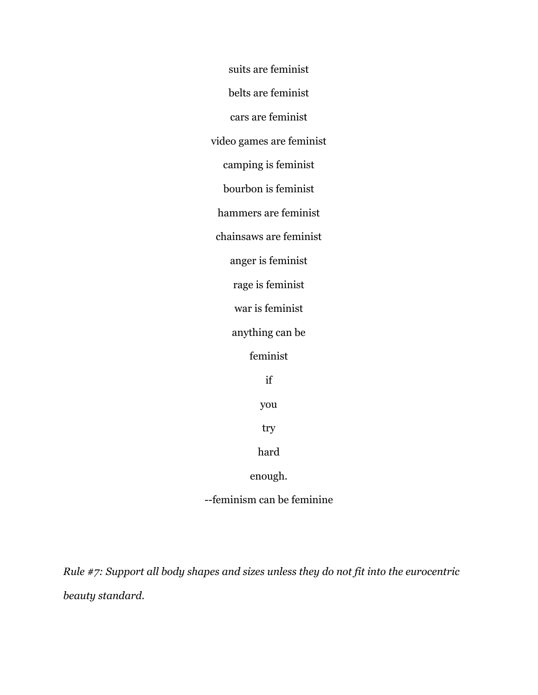suits are feminist belts are feminist cars are feminist video games are feminist camping is feminist bourbon is feminist hammers are feminist chainsaws are feminist anger is feminist rage is feminist war is feminist anything can be feminist if you try hard enough.

--feminism can be feminine

*Rule #7: Support all body shapes and sizes unless they do not fit into the eurocentric beauty standard.*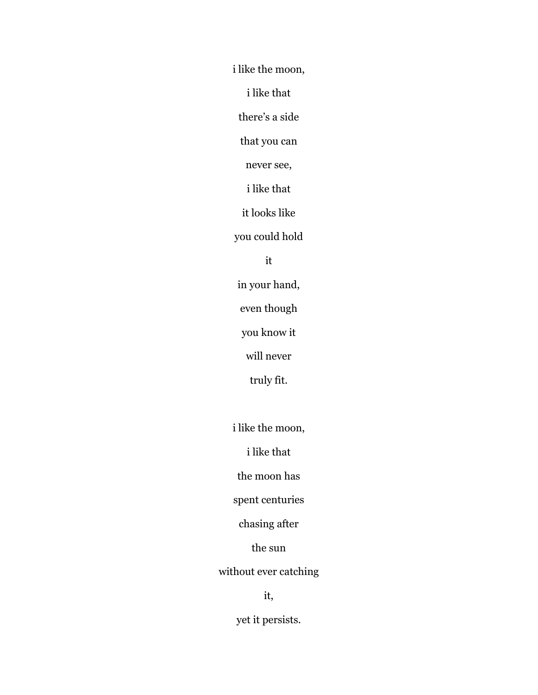i like the moon,

i like that

there's a side

that you can

never see,

i like that

it looks like

you could hold

#### it

in your hand,

even though

you know it

will never

truly fit.

i like the moon,

i like that

the moon has

spent centuries

chasing after

the sun

without ever catching

it,

yet it persists.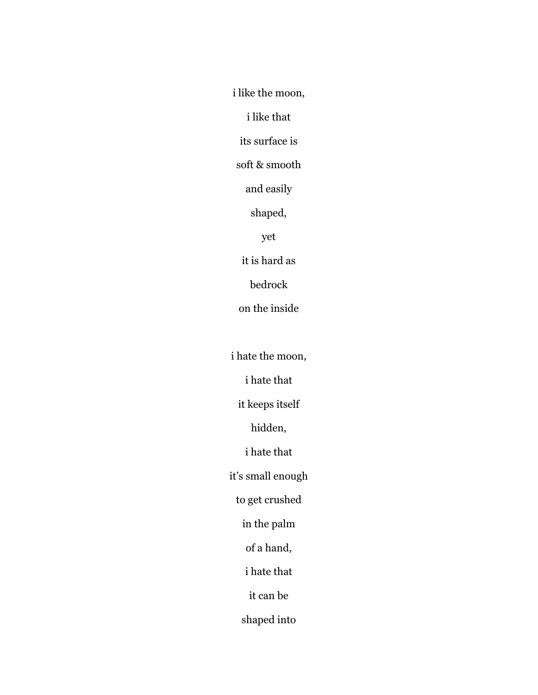i like the moon,

i like that

its surface is

soft & smooth

and easily

shaped,

yet

it is hard as

bedrock

on the inside

i hate the moon,

i hate that

it keeps itself

hidden,

i hate that

it's small enough

to get crushed

in the palm

of a hand,

i hate that

it can be

shaped into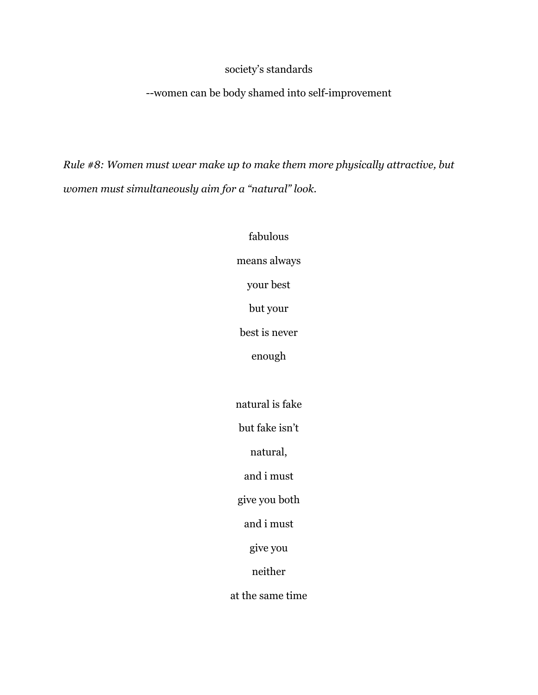## society's standards

--women can be body shamed into self-improvement

*Rule #8: Women must wear make up to make them more physically attractive, but women must simultaneously aim for a "natural" look.*

> fabulous means always your best but your best is never enough natural is fake but fake isn't natural, and i must give you both and i must give you neither at the same time